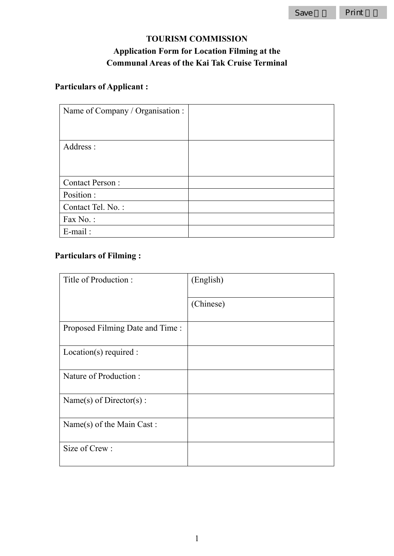## **TOURISM COMMISSION Application Form for Location Filming at the Communal Areas of the Kai Tak Cruise Terminal**

# **Particulars of Applicant :**

| Name of Company / Organisation : |  |
|----------------------------------|--|
|                                  |  |
|                                  |  |
| Address:                         |  |
|                                  |  |
|                                  |  |
| <b>Contact Person:</b>           |  |
| Position:                        |  |
| Contact Tel. No.:                |  |
| Fax No.:                         |  |
| $E$ -mail:                       |  |

### **Particulars of Filming :**

| Title of Production:            | (English) |
|---------------------------------|-----------|
|                                 | (Chinese) |
| Proposed Filming Date and Time: |           |
| Location(s) required:           |           |
| Nature of Production:           |           |
| Name(s) of Director(s) :        |           |
| Name(s) of the Main Cast:       |           |
| Size of Crew:                   |           |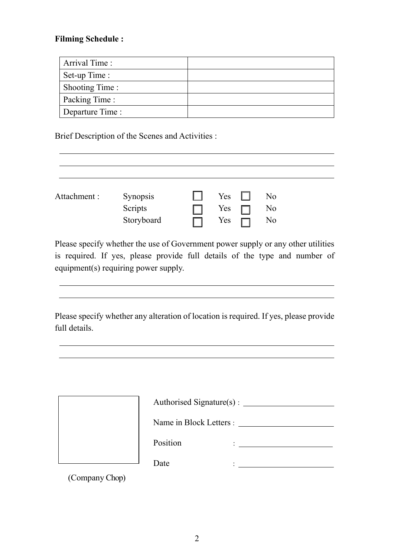#### **Filming Schedule :**

| Arrival Time:        |  |
|----------------------|--|
| Set-up Time :        |  |
| Shooting Time :      |  |
| <b>Packing Time:</b> |  |
| Departure Time :     |  |

Brief Description of the Scenes and Activities :

| Attachment : | Synopsis   | Yes $\Box$ | No |
|--------------|------------|------------|----|
|              | Scripts    | Yes $\Box$ | No |
|              | Storyboard | Yes        | No |

Please specify whether the use of Government power supply or any other utilities is required. If yes, please provide full details of the type and number of equipment(s) requiring power supply.

Please specify whether any alteration of location is required. If yes, please provide full details.

| Authorised Signature(s) : ______ |  |  |
|----------------------------------|--|--|
| Name in Block Letters :          |  |  |
| Position                         |  |  |
| Date                             |  |  |

(Company Chop)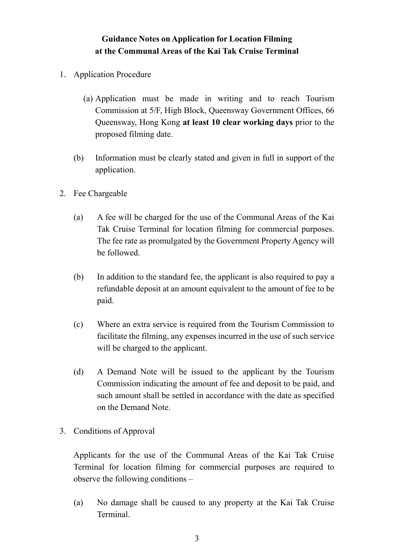#### **Guidance Notes on Application for Location Filming at the Communal Areas of the Kai Tak Cruise Terminal**

- 1. Application Procedure
	- (a) Application must be made in writing and to reach Tourism Commission at 5/F, High Block, Queensway Government Offices, 66 Queensway, Hong Kong **at least 10 clear working days** prior to the proposed filming date.
	- (b) Information must be clearly stated and given in full in support of the application.
- 2. Fee Chargeable
	- (a) A fee will be charged for the use of the Communal Areas of the Kai Tak Cruise Terminal for location filming for commercial purposes. The fee rate as promulgated by the Government Property Agency will be followed.
	- (b) In addition to the standard fee, the applicant is also required to pay a refundable deposit at an amount equivalent to the amount of fee to be paid.
	- (c) Where an extra service is required from the Tourism Commission to facilitate the filming, any expenses incurred in the use of such service will be charged to the applicant.
	- (d) A Demand Note will be issued to the applicant by the Tourism Commission indicating the amount of fee and deposit to be paid, and such amount shall be settled in accordance with the date as specified on the Demand Note.
- 3. Conditions of Approval

Applicants for the use of the Communal Areas of the Kai Tak Cruise Terminal for location filming for commercial purposes are required to observe the following conditions –

(a) No damage shall be caused to any property at the Kai Tak Cruise Terminal.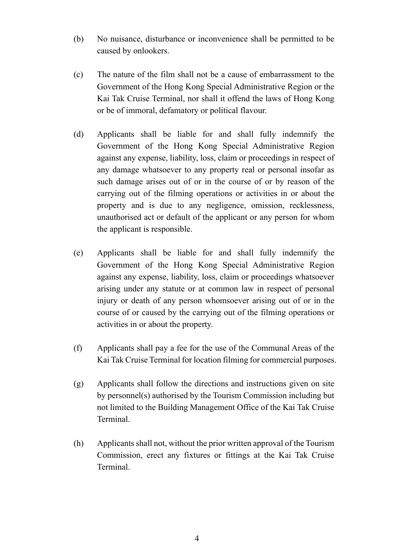- (b) No nuisance, disturbance or inconvenience shall be permitted to be caused by onlookers.
- (c) The nature of the film shall not be a cause of embarrassment to the Government of the Hong Kong Special Administrative Region or the Kai Tak Cruise Terminal, nor shall it offend the laws of Hong Kong or be of immoral, defamatory or political flavour.
- (d) Applicants shall be liable for and shall fully indemnify the Government of the Hong Kong Special Administrative Region against any expense, liability, loss, claim or proceedings in respect of any damage whatsoever to any property real or personal insofar as such damage arises out of or in the course of or by reason of the carrying out of the filming operations or activities in or about the property and is due to any negligence, omission, recklessness, unauthorised act or default of the applicant or any person for whom the applicant is responsible.
- (e) Applicants shall be liable for and shall fully indemnify the Government of the Hong Kong Special Administrative Region against any expense, liability, loss, claim or proceedings whatsoever arising under any statute or at common law in respect of personal injury or death of any person whomsoever arising out of or in the course of or caused by the carrying out of the filming operations or activities in or about the property.
- (f) Applicants shall pay a fee for the use of the Communal Areas of the Kai Tak Cruise Terminal for location filming for commercial purposes.
- (g) Applicants shall follow the directions and instructions given on site by personnel(s) authorised by the Tourism Commission including but not limited to the Building Management Office of the Kai Tak Cruise Terminal.
- (h) Applicants shall not, without the prior written approval of the Tourism Commission, erect any fixtures or fittings at the Kai Tak Cruise Terminal.